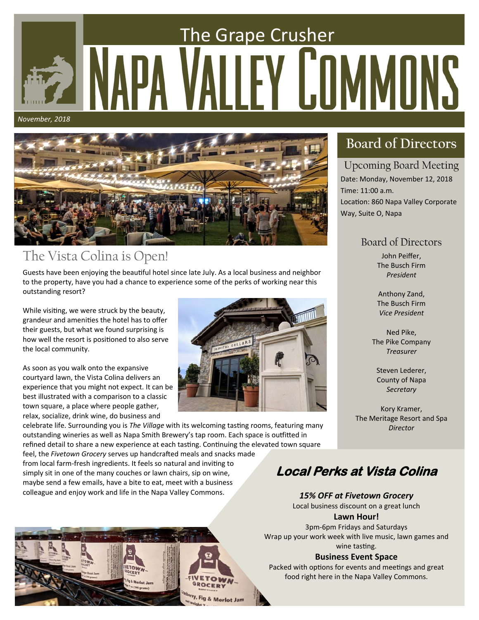# The Grape Crusher EY COMMONS *November, 2018*



# The Vista Colina is Open!

Guests have been enjoying the beautiful hotel since late July. As a local business and neighbor to the property, have you had a chance to experience some of the perks of working near this outstanding resort?

While visiting, we were struck by the beauty, grandeur and amenities the hotel has to offer their guests, but what we found surprising is how well the resort is positioned to also serve the local community.

As soon as you walk onto the expansive courtyard lawn, the Vista Colina delivers an experience that you might not expect. It can be best illustrated with a comparison to a classic town square, a place where people gather, relax, socialize, drink wine, do business and



celebrate life. Surrounding you is The Village with its welcoming tasting rooms, featuring many outstanding wineries as well as Napa Smith Brewery's tap room. Each space is outfitted in refined detail to share a new experience at each tasting. Continuing the elevated town square

feel, the *Fivetown Grocery* serves up handcrafted meals and snacks made from local farm-fresh ingredients. It feels so natural and inviting to simply sit in one of the many couches or lawn chairs, sip on wine, maybe send a few emails, have a bite to eat, meet with a business colleague and enjoy work and life in the Napa Valley Commons.



### Upcoming Board Meeting

Date: Monday, November 12, 2018 Time: 11:00 a.m. Location: 860 Napa Valley Corporate Way, Suite O, Napa

### Board of Directors

John Peiffer, The Busch Firm *President* 

Anthony Zand, The Busch Firm *Vice President* 

Ned Pike, The Pike Company *Treasurer* 

Steven Lederer, County of Napa *Secretary* 

Kory Kramer, The Meritage Resort and Spa *Director*

# **Local Perks at Vista Colina**

### *15% OFF at Fivetown Grocery*

Local business discount on a great lunch

#### Lawn Hour!

3pm‐6pm Fridays and Saturdays Wrap up your work week with live music, lawn games and wine tasting.

#### **Business Event Space**

Packed with options for events and meetings and great food right here in the Napa Valley Commons.

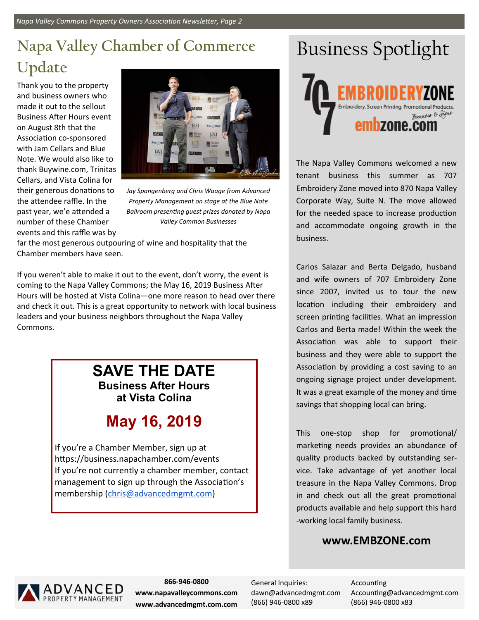# **Napa Valley Chamber of Commerce Update**

Thank you to the property and business owners who made it out to the sellout Business After Hours event on August 8th that the Association co-sponsored with Jam Cellars and Blue Note. We would also like to thank Buywine.com, Trinitas Cellars, and Vista Colina for their generous donations to the attendee raffle. In the past year, we'e attended a number of these Chamber events and this raffle was by



*Jay Spangenberg and Chris Waage from Advanced Property Management on stage at the Blue Note Ballroom presenƟng guest prizes donated by Napa Valley Common Businesses* 

far the most generous outpouring of wine and hospitality that the Chamber members have seen.

If you weren't able to make it out to the event, don't worry, the event is coming to the Napa Valley Commons; the May 16, 2019 Business After Hours will be hosted at Vista Colina—one more reason to head over there and check it out. This is a great opportunity to network with local business leaders and your business neighbors throughout the Napa Valley Commons.

### **SAVE THE DATE Business After Hours at Vista Colina**

# **May 16, 2019**

If you're a Chamber Member, sign up at https://business.napachamber.com/events If you're not currently a chamber member, contact management to sign up through the Association's membership (chris@advancedmgmt.com)

# Business Spotlight



The Napa Valley Commons welcomed a new tenant business this summer as 707 Embroidery Zone moved into 870 Napa Valley Corporate Way, Suite N. The move allowed for the needed space to increase production and accommodate ongoing growth in the business.

Carlos Salazar and Berta Delgado, husband and wife owners of 707 Embroidery Zone since 2007, invited us to tour the new location including their embroidery and screen printing facilities. What an impression Carlos and Berta made! Within the week the Association was able to support their business and they were able to support the Association by providing a cost saving to an ongoing signage project under development. It was a great example of the money and time savings that shopping local can bring.

This one-stop shop for promotional/ marketing needs provides an abundance of quality products backed by outstanding ser‐ vice. Take advantage of yet another local treasure in the Napa Valley Commons. Drop in and check out all the great promotional products available and help support this hard ‐working local family business.

### **www.EMBZONE.com**



**866‐946‐0800 www.napavalleycommons.com www.advancedmgmt.com.com** 

General Inquiries: dawn@advancedmgmt.com (866) 946‐0800 x89

**Accounting** Accounting@advancedmgmt.com (866) 946‐0800 x83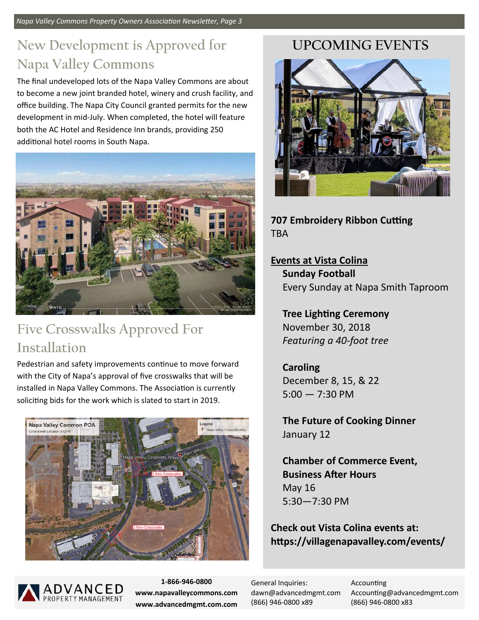*Napa Valley Commons Property Owners Association Newsletter, Page 3* 

# **New Development is Approved for Napa Valley Commons**

The final undeveloped lots of the Napa Valley Commons are about to become a new joint branded hotel, winery and crush facility, and office building. The Napa City Council granted permits for the new development in mid‐July. When completed, the hotel will feature both the AC Hotel and Residence Inn brands, providing 250 additional hotel rooms in South Napa.



### **Five Crosswalks Approved For Installation**

Pedestrian and safety improvements continue to move forward with the City of Napa's approval of five crosswalks that will be installed in Napa Valley Commons. The Association is currently soliciting bids for the work which is slated to start in 2019.



### **UPCOMING EVENTS**



**707 Embroidery Ribbon Cutting** TBA

**Events at Vista Colina Sunday Football**  Every Sunday at Napa Smith Taproom

**Tree Lighting Ceremony** November 30, 2018 *Featuring a 40‐foot tree* 

### **Caroling**  December 8, 15, & 22  $5:00 - 7:30 \text{ PM}$

**The Future of Cooking Dinner**  January 12

**Chamber of Commerce Event, Business After Hours** May 16 5:30—7:30 PM

**Check out Vista Colina events at: hƩps://villagenapavalley.com/events/** 



**1‐866‐946‐0800 www.napavalleycommons.com www.advancedmgmt.com.com** 

General Inquiries: dawn@advancedmgmt.com (866) 946‐0800 x89

**Accounting** Accounting@advancedmgmt.com (866) 946‐0800 x83